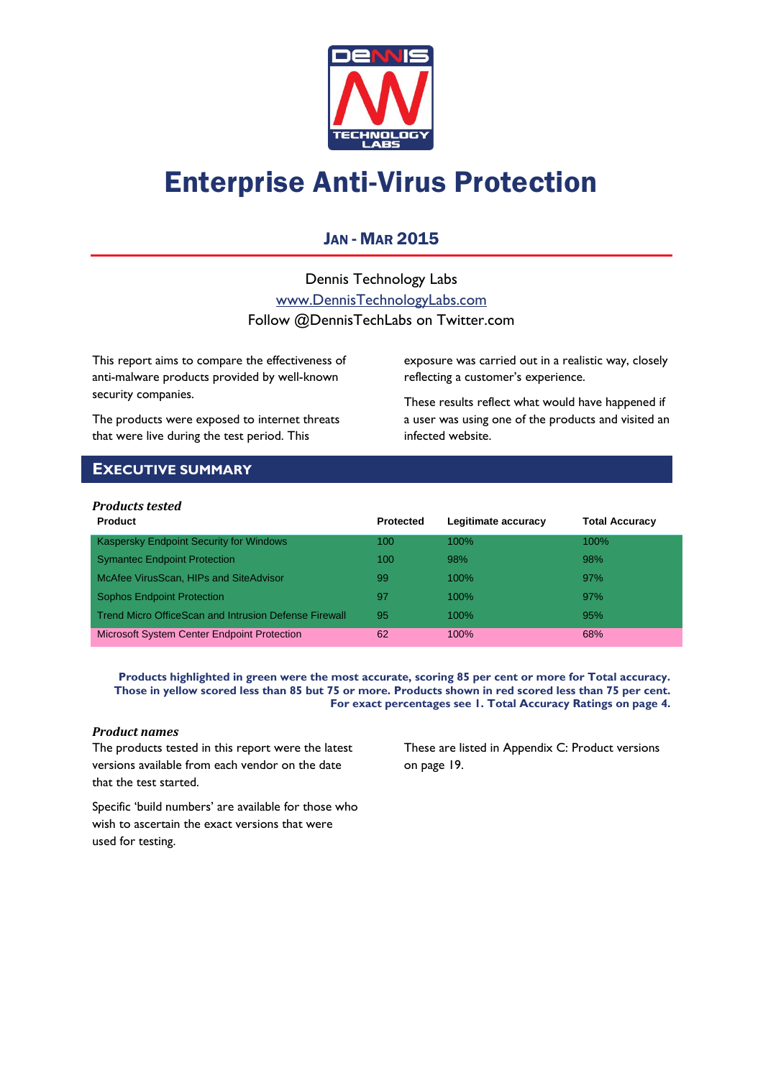

# Enterprise Anti-Virus Protection

### JAN - MAR 2015

Dennis Technology Labs [www.DennisTechnologyLabs.com](http://www.dennistechnologylabs.com/) Follow @DennisTechLabs on Twitter.com

This report aims to compare the effectiveness of anti-malware products provided by well-known security companies.

The products were exposed to internet threats that were live during the test period. This

exposure was carried out in a realistic way, closely reflecting a customer's experience.

These results reflect what would have happened if a user was using one of the products and visited an infected website.

### <span id="page-0-0"></span>**EXECUTIVE SUMMARY**

### *Products tested*

| <b>Product</b>                                        | <b>Protected</b> | Legitimate accuracy | <b>Total Accuracy</b> |
|-------------------------------------------------------|------------------|---------------------|-----------------------|
| Kaspersky Endpoint Security for Windows               | 100              | $100\%$             | $100\%$               |
| <b>Symantec Endpoint Protection</b>                   | 100              | 98%                 | 98%                   |
| McAfee VirusScan, HIPs and SiteAdvisor                | 99               | $100\%$             | 97%                   |
| <b>Sophos Endpoint Protection</b>                     | 97               | $100\%$             | 97%                   |
| Trend Micro OfficeScan and Intrusion Defense Firewall | 95               | $100\%$             | 95%                   |
| <b>Microsoft System Center Endpoint Protection</b>    | 62               | 100%                | 68%                   |

**Products highlighted in green were the most accurate, scoring 85 per cent or more for Total accuracy. Those in yellow scored less than 85 but 75 or more. Products shown in red scored less than 75 per cent. For exact percentages see 1. Total Accuracy Ratings on page 4.**

#### *Product names*

The products tested in this report were the latest versions available from each vendor on the date that the test started.

These are listed in [Appendix C: Product versions](#page-19-0) on page 19.

Specific 'build numbers' are available for those who wish to ascertain the exact versions that were used for testing.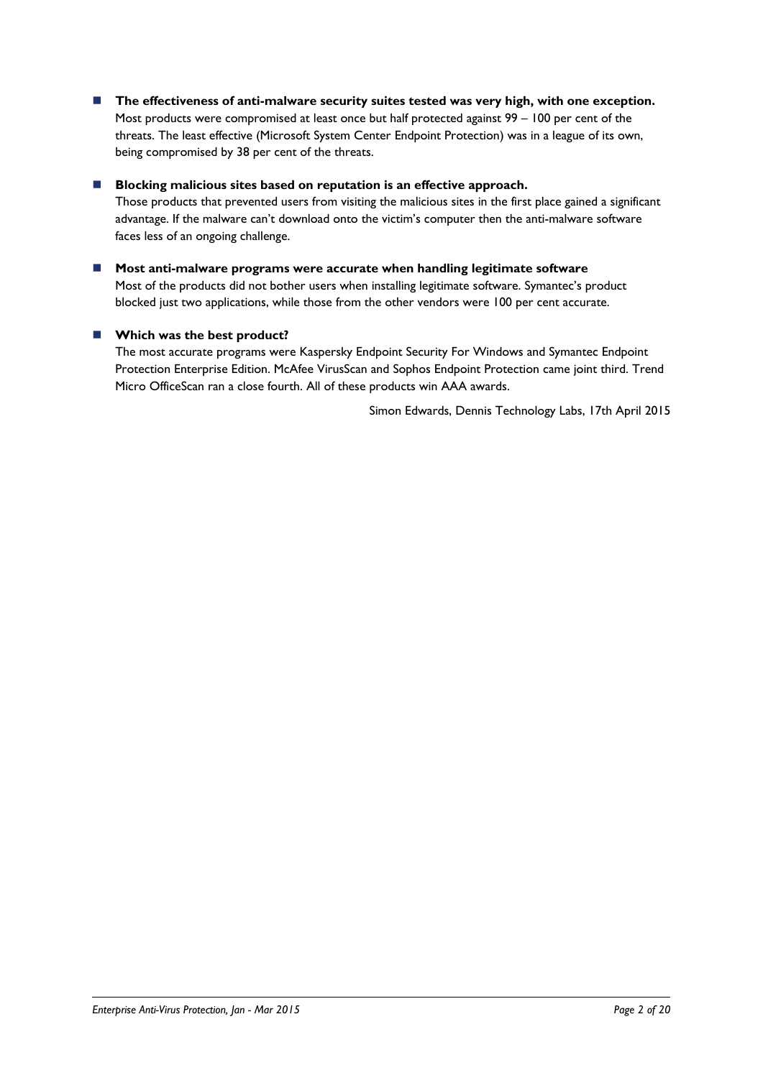**The effectiveness of anti-malware security suites tested was very high, with one exception.** Most products were compromised at least once but half protected against 99 – 100 per cent of the threats. The least effective (Microsoft System Center Endpoint Protection) was in a league of its own, being compromised by 38 per cent of the threats.

### ■ Blocking malicious sites based on reputation is an effective approach.

Those products that prevented users from visiting the malicious sites in the first place gained a significant advantage. If the malware can't download onto the victim's computer then the anti-malware software faces less of an ongoing challenge.

 **Most anti-malware programs were accurate when handling legitimate software** Most of the products did not bother users when installing legitimate software. Symantec's product blocked just two applications, while those from the other vendors were 100 per cent accurate.

### **Which was the best product?**

The most accurate programs were Kaspersky Endpoint Security For Windows and Symantec Endpoint Protection Enterprise Edition. McAfee VirusScan and Sophos Endpoint Protection came joint third. Trend Micro OfficeScan ran a close fourth. All of these products win AAA awards.

Simon Edwards, Dennis Technology Labs, 17th April 2015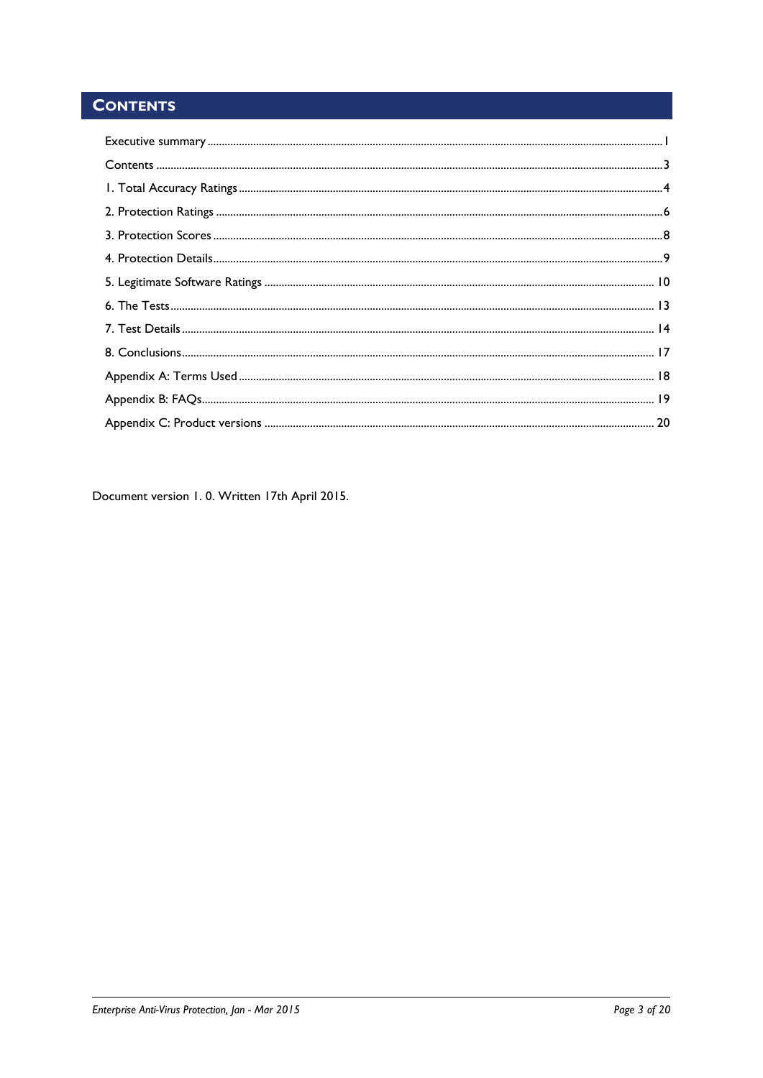# <span id="page-2-0"></span>**CONTENTS**

Document version 1.0. Written 17th April 2015.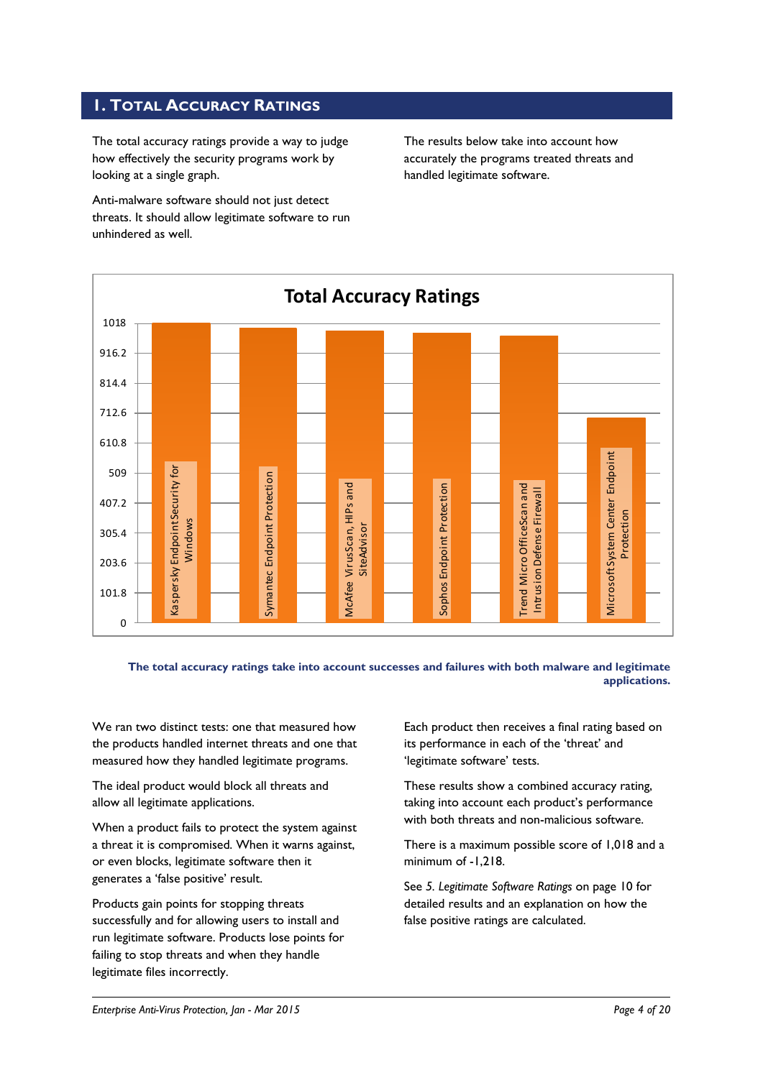### <span id="page-3-0"></span>**1. TOTAL ACCURACY RATINGS**

The total accuracy ratings provide a way to judge how effectively the security programs work by looking at a single graph.

Anti-malware software should not just detect threats. It should allow legitimate software to run unhindered as well.

The results below take into account how accurately the programs treated threats and handled legitimate software.



**The total accuracy ratings take into account successes and failures with both malware and legitimate applications.**

We ran two distinct tests: one that measured how the products handled internet threats and one that measured how they handled legitimate programs.

The ideal product would block all threats and allow all legitimate applications.

When a product fails to protect the system against a threat it is compromised. When it warns against, or even blocks, legitimate software then it generates a 'false positive' result.

Products gain points for stopping threats successfully and for allowing users to install and run legitimate software. Products lose points for failing to stop threats and when they handle legitimate files incorrectly.

Each product then receives a final rating based on its performance in each of the 'threat' and 'legitimate software' tests.

These results show a combined accuracy rating, taking into account each product's performance with both threats and non-malicious software.

There is a maximum possible score of 1,018 and a minimum of -1,218.

See *5. Legitimate Software Ratings* on page 10 for detailed results and an explanation on how the false positive ratings are calculated.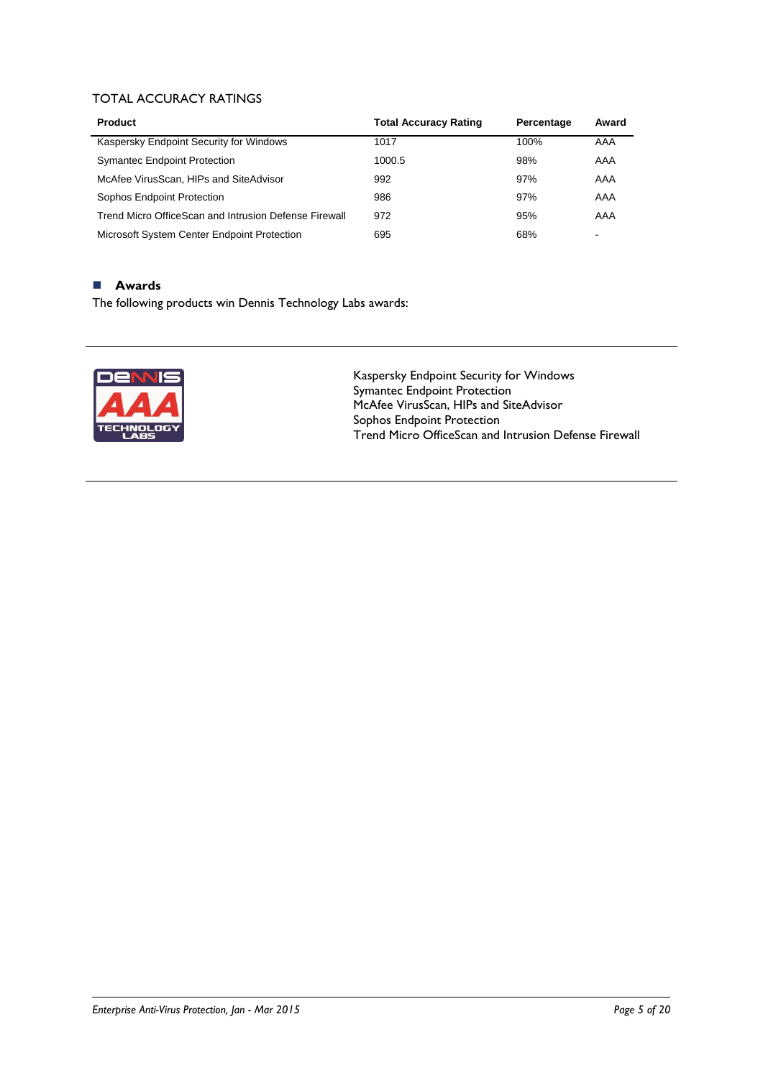### TOTAL ACCURACY RATINGS

| <b>Product</b>                                        | <b>Total Accuracy Rating</b> | Percentage | Award                    |
|-------------------------------------------------------|------------------------------|------------|--------------------------|
| Kaspersky Endpoint Security for Windows               | 1017                         | 100%       | AAA                      |
| <b>Symantec Endpoint Protection</b>                   | 1000.5                       | 98%        | AAA                      |
| McAfee VirusScan, HIPs and SiteAdvisor                | 992                          | 97%        | AAA                      |
| Sophos Endpoint Protection                            | 986                          | 97%        | AAA                      |
| Trend Micro OfficeScan and Intrusion Defense Firewall | 972                          | 95%        | AAA                      |
| Microsoft System Center Endpoint Protection           | 695                          | 68%        | $\overline{\phantom{0}}$ |

### **Awards**

The following products win Dennis Technology Labs awards:



Kaspersky Endpoint Security for Windows Symantec Endpoint Protection McAfee VirusScan, HIPs and SiteAdvisor Sophos Endpoint Protection Trend Micro OfficeScan and Intrusion Defense Firewall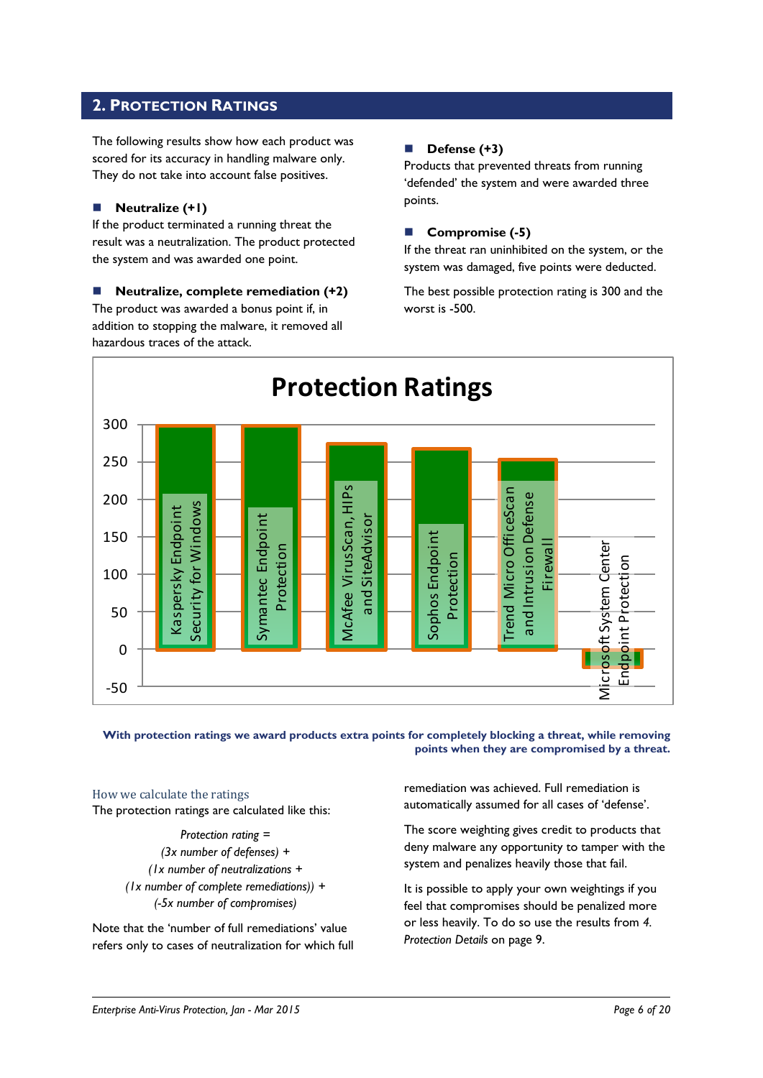### <span id="page-5-0"></span>**2. PROTECTION RATINGS**

The following results show how each product was scored for its accuracy in handling malware only. They do not take into account false positives.

### **Neutralize (+1)**

If the product terminated a running threat the result was a neutralization. The product protected the system and was awarded one point.

 **Neutralize, complete remediation (+2)** The product was awarded a bonus point if, in addition to stopping the malware, it removed all hazardous traces of the attack.

### **Defense (+3)**

Products that prevented threats from running 'defended' the system and were awarded three points.

### **Compromise (-5)**

If the threat ran uninhibited on the system, or the system was damaged, five points were deducted.

The best possible protection rating is 300 and the worst is -500.



**With protection ratings we award products extra points for completely blocking a threat, while removing points when they are compromised by a threat.**

How we calculate the ratings The protection ratings are calculated like this:

> *Protection rating = (3x number of defenses) + (1x number of neutralizations + (1x number of complete remediations)) + (-5x number of compromises)*

Note that the 'number of full remediations' value refers only to cases of neutralization for which full remediation was achieved. Full remediation is automatically assumed for all cases of 'defense'.

The score weighting gives credit to products that deny malware any opportunity to tamper with the system and penalizes heavily those that fail.

It is possible to apply your own weightings if you feel that compromises should be penalized more or less heavily. To do so use the results from *4. Protection Details* on page 9.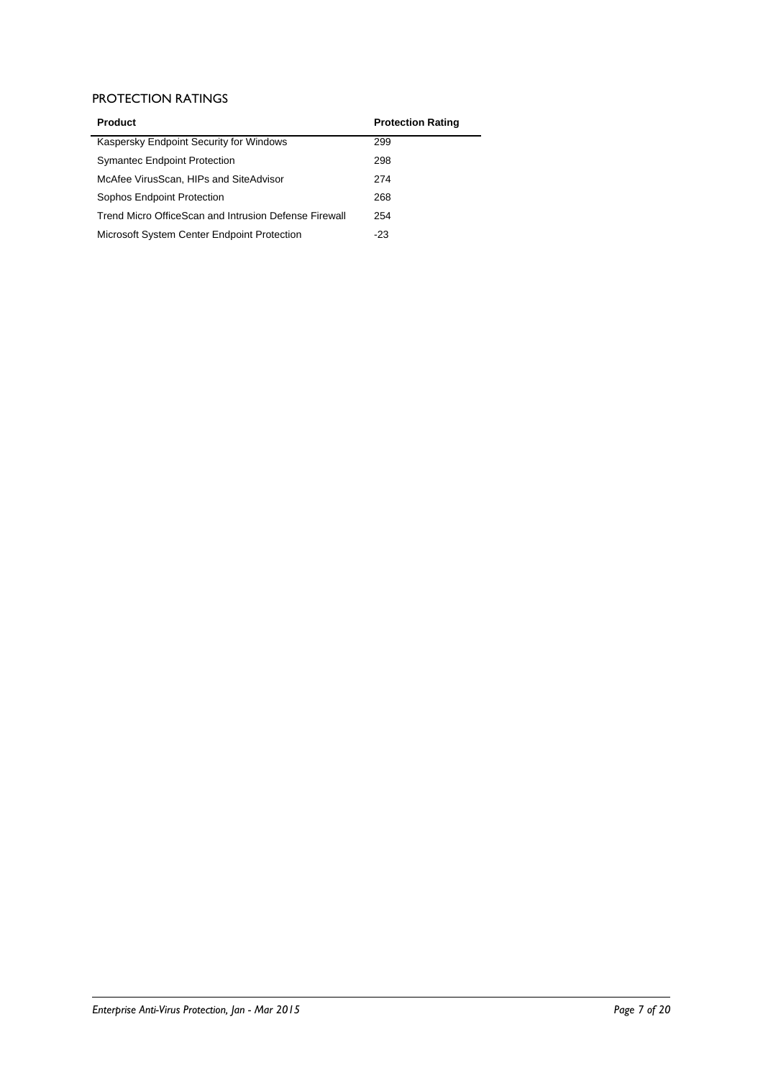### PROTECTION RATINGS

| <b>Product</b>                                        | <b>Protection Rating</b> |
|-------------------------------------------------------|--------------------------|
| Kaspersky Endpoint Security for Windows               | 299                      |
| <b>Symantec Endpoint Protection</b>                   | 298                      |
| McAfee VirusScan, HIPs and SiteAdvisor                | 274                      |
| Sophos Endpoint Protection                            | 268                      |
| Trend Micro OfficeScan and Intrusion Defense Firewall | 254                      |
| Microsoft System Center Endpoint Protection           | -23                      |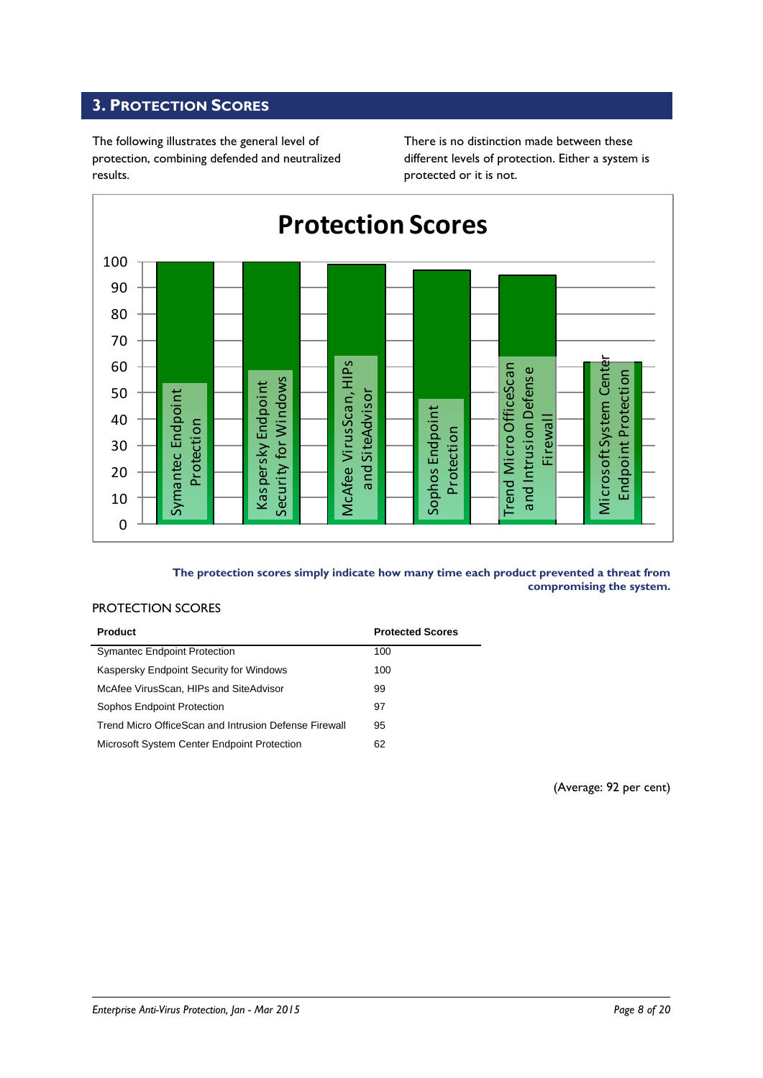### <span id="page-7-0"></span>**3. PROTECTION SCORES**

The following illustrates the general level of protection, combining defended and neutralized results.

There is no distinction made between these different levels of protection. Either a system is protected or it is not.



### **The protection scores simply indicate how many time each product prevented a threat from compromising the system.**

#### PROTECTION SCORES

| <b>Product</b>                                        | <b>Protected Scores</b> |
|-------------------------------------------------------|-------------------------|
| <b>Symantec Endpoint Protection</b>                   | 100                     |
| Kaspersky Endpoint Security for Windows               | 100                     |
| McAfee VirusScan, HIPs and SiteAdvisor                | 99                      |
| Sophos Endpoint Protection                            | 97                      |
| Trend Micro OfficeScan and Intrusion Defense Firewall | 95                      |
| Microsoft System Center Endpoint Protection           | 62                      |

(Average: 92 per cent)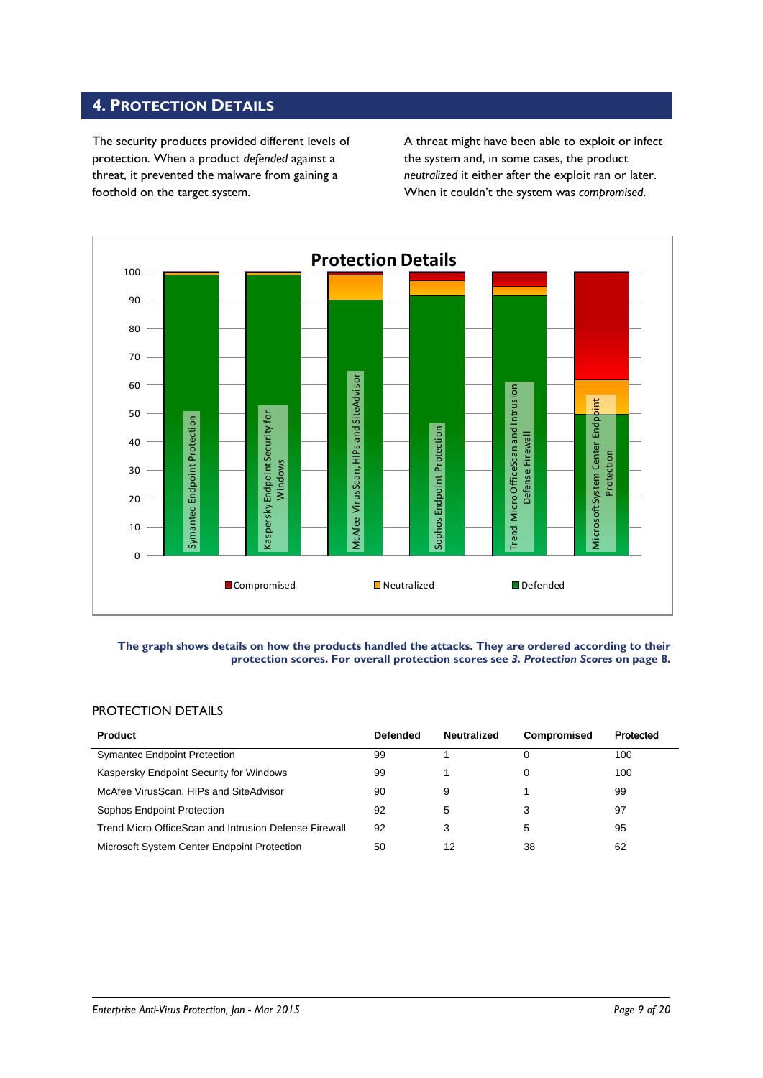### <span id="page-8-0"></span>**4. PROTECTION DETAILS**

The security products provided different levels of protection. When a product *defended* against a threat, it prevented the malware from gaining a foothold on the target system.

A threat might have been able to exploit or infect the system and, in some cases, the product *neutralized* it either after the exploit ran or later. When it couldn't the system was *compromised*.



#### **The graph shows details on how the products handled the attacks. They are ordered according to their protection scores. For overall protection scores see** *3. Protection Scores* **on page 8.**

### PROTECTION DETAILS

| <b>Product</b>                                        | <b>Defended</b> | <b>Neutralized</b> | Compromised | Protected |
|-------------------------------------------------------|-----------------|--------------------|-------------|-----------|
| <b>Symantec Endpoint Protection</b>                   | 99              |                    | 0           | 100       |
| Kaspersky Endpoint Security for Windows               | 99              |                    |             | 100       |
| McAfee VirusScan, HIPs and SiteAdvisor                | 90              | 9                  |             | 99        |
| Sophos Endpoint Protection                            | 92              | 5                  | 3           | 97        |
| Trend Micro OfficeScan and Intrusion Defense Firewall | 92              | 3                  | 5           | 95        |
| Microsoft System Center Endpoint Protection           | 50              | 12                 | 38          | 62        |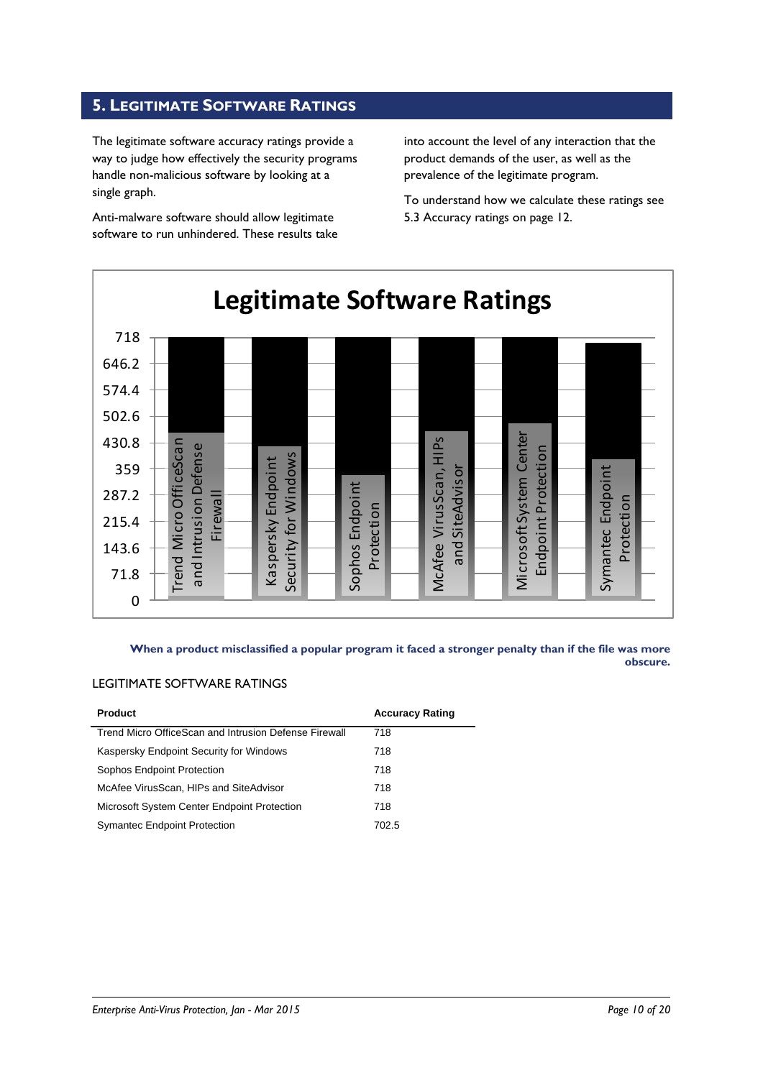### <span id="page-9-0"></span>**5. LEGITIMATE SOFTWARE RATINGS**

The legitimate software accuracy ratings provide a way to judge how effectively the security programs handle non-malicious software by looking at a single graph.

Anti-malware software should allow legitimate software to run unhindered. These results take

into account the level of any interaction that the product demands of the user, as well as the prevalence of the legitimate program.

To understand how we calculate these ratings see 5.3 Accuracy ratings on page 12.



**When a product misclassified a popular program it faced a stronger penalty than if the file was more obscure.**

### LEGITIMATE SOFTWARE RATINGS

| <b>Product</b>                                        | <b>Accuracy Rating</b> |
|-------------------------------------------------------|------------------------|
| Trend Micro OfficeScan and Intrusion Defense Firewall | 718                    |
| Kaspersky Endpoint Security for Windows               | 718                    |
| Sophos Endpoint Protection                            | 718                    |
| McAfee VirusScan, HIPs and SiteAdvisor                | 718                    |
| Microsoft System Center Endpoint Protection           | 718                    |
| <b>Symantec Endpoint Protection</b>                   | 702.5                  |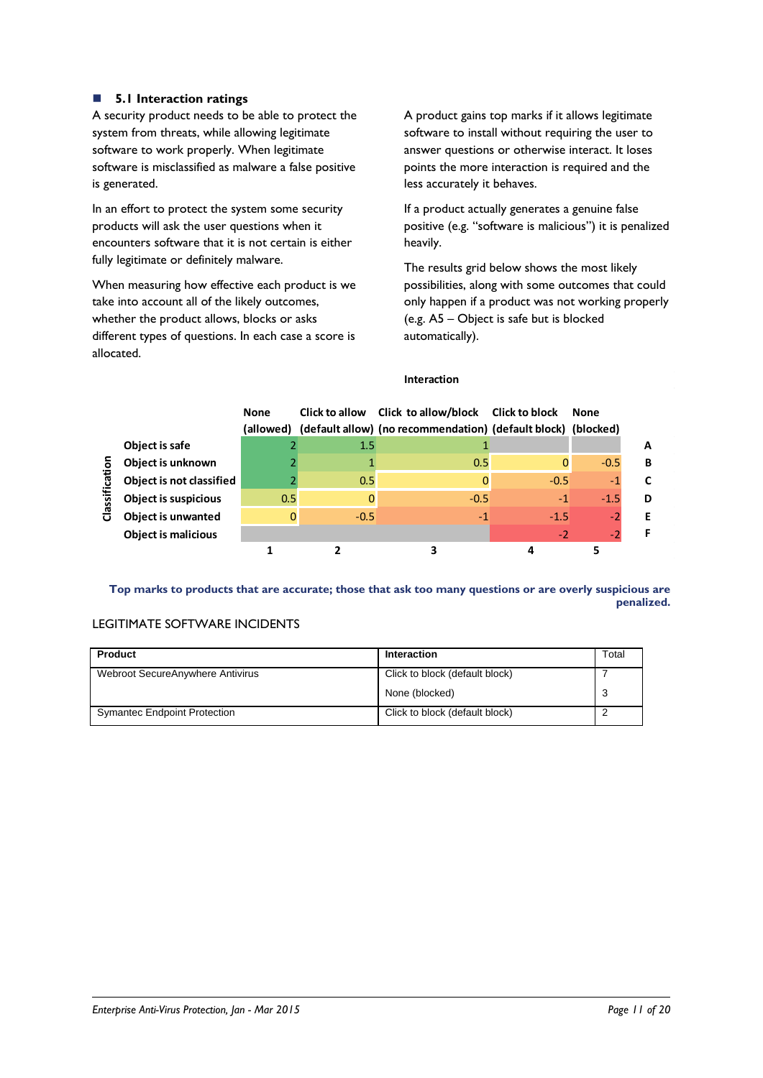### **5.1 Interaction ratings**

A security product needs to be able to protect the system from threats, while allowing legitimate software to work properly. When legitimate software is misclassified as malware a false positive is generated.

In an effort to protect the system some security products will ask the user questions when it encounters software that it is not certain is either fully legitimate or definitely malware.

When measuring how effective each product is we take into account all of the likely outcomes, whether the product allows, blocks or asks different types of questions. In each case a score is allocated.

A product gains top marks if it allows legitimate software to install without requiring the user to answer questions or otherwise interact. It loses points the more interaction is required and the less accurately it behaves.

If a product actually generates a genuine false positive (e.g. "software is malicious") it is penalized heavily.

The results grid below shows the most likely possibilities, along with some outcomes that could only happen if a product was not working properly (e.g. A5 – Object is safe but is blocked automatically).

### **Interaction**

|          |                             | <b>None</b> |        | Click to allow Click to allow/block Click to block<br>(allowed) (default allow) (no recommendation) (default block) (blocked) |        | <b>None</b> |   |
|----------|-----------------------------|-------------|--------|-------------------------------------------------------------------------------------------------------------------------------|--------|-------------|---|
|          | Object is safe              |             | 1.5    |                                                                                                                               |        |             | A |
| ā        | Object is unknown           |             |        | 0.5                                                                                                                           | 0      | $-0.5$      | B |
| ថ        | Object is not classified    |             | 0.5    | 0                                                                                                                             | $-0.5$ | $-1$        | C |
| Classifi | <b>Object is suspicious</b> | 0.5         |        | $-0.5$                                                                                                                        | $-1$   | $-1.5$      | D |
|          | <b>Object is unwanted</b>   | 0           | $-0.5$ | $-1$                                                                                                                          | $-1.5$ | $-2$        | Е |
|          | <b>Object is malicious</b>  |             |        |                                                                                                                               | $-2$   | $-2$        | F |
|          |                             |             |        |                                                                                                                               |        |             |   |

**Top marks to products that are accurate; those that ask too many questions or are overly suspicious are penalized.**

### LEGITIMATE SOFTWARE INCIDENTS

| <b>Product</b>                      | Interaction                    | Total |
|-------------------------------------|--------------------------------|-------|
| Webroot SecureAnywhere Antivirus    | Click to block (default block) |       |
|                                     | None (blocked)                 | J     |
| <b>Symantec Endpoint Protection</b> | Click to block (default block) |       |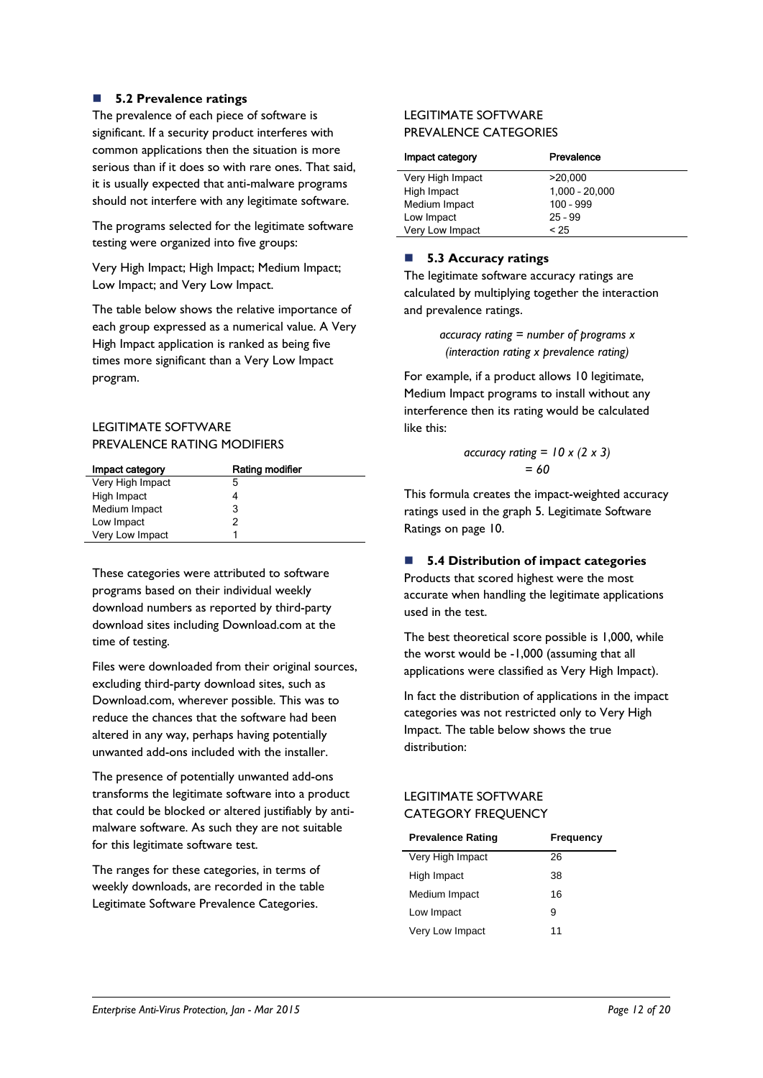### **5.2 Prevalence ratings**

The prevalence of each piece of software is significant. If a security product interferes with common applications then the situation is more serious than if it does so with rare ones. That said, it is usually expected that anti-malware programs should not interfere with any legitimate software.

The programs selected for the legitimate software testing were organized into five groups:

Very High Impact; High Impact; Medium Impact; Low Impact; and Very Low Impact.

The table below shows the relative importance of each group expressed as a numerical value. A Very High Impact application is ranked as being five times more significant than a Very Low Impact program.

### LEGITIMATE SOFTWARE PREVALENCE RATING MODIFIERS

| Impact category  | Rating modifier |
|------------------|-----------------|
| Very High Impact | 5               |
| High Impact      | 4               |
| Medium Impact    | 3               |
| Low Impact       | 2               |
| Very Low Impact  |                 |

These categories were attributed to software programs based on their individual weekly download numbers as reported by third-party download sites including Download.com at the time of testing.

Files were downloaded from their original sources, excluding third-party download sites, such as Download.com, wherever possible. This was to reduce the chances that the software had been altered in any way, perhaps having potentially unwanted add-ons included with the installer.

The presence of potentially unwanted add-ons transforms the legitimate software into a product that could be blocked or altered justifiably by antimalware software. As such they are not suitable for this legitimate software test.

The ranges for these categories, in terms of weekly downloads, are recorded in the table Legitimate Software Prevalence Categories.

### LEGITIMATE SOFTWARE PREVALENCE CATEGORIES

| Impact category  | Prevalence       |
|------------------|------------------|
| Very High Impact | >20,000          |
| High Impact      | $1,000 - 20,000$ |
| Medium Impact    | $100 - 999$      |
| Low Impact       | $25 - 99$        |
| Very Low Impact  | < 25             |

### ■ 5.3 Accuracy ratings

The legitimate software accuracy ratings are calculated by multiplying together the interaction and prevalence ratings.

> *accuracy rating = number of programs x (interaction rating x prevalence rating)*

For example, if a product allows 10 legitimate, Medium Impact programs to install without any interference then its rating would be calculated like this:

$$
\begin{aligned} \text{accuracy rating} &= 10 \times (2 \times 3) \\ &= 60 \end{aligned}
$$

This formula creates the impact-weighted accuracy ratings used in the graph 5. Legitimate Software Ratings on page 10.

### **5.4 Distribution of impact categories**

Products that scored highest were the most accurate when handling the legitimate applications used in the test.

The best theoretical score possible is 1,000, while the worst would be -1,000 (assuming that all applications were classified as Very High Impact).

In fact the distribution of applications in the impact categories was not restricted only to Very High Impact. The table below shows the true distribution:

### LEGITIMATE SOFTWARE CATEGORY FREQUENCY

| <b>Prevalence Rating</b> | Frequency |
|--------------------------|-----------|
| Very High Impact         | 26        |
| High Impact              | 38        |
| Medium Impact            | 16        |
| Low Impact               | 9         |
| Very Low Impact          | 11        |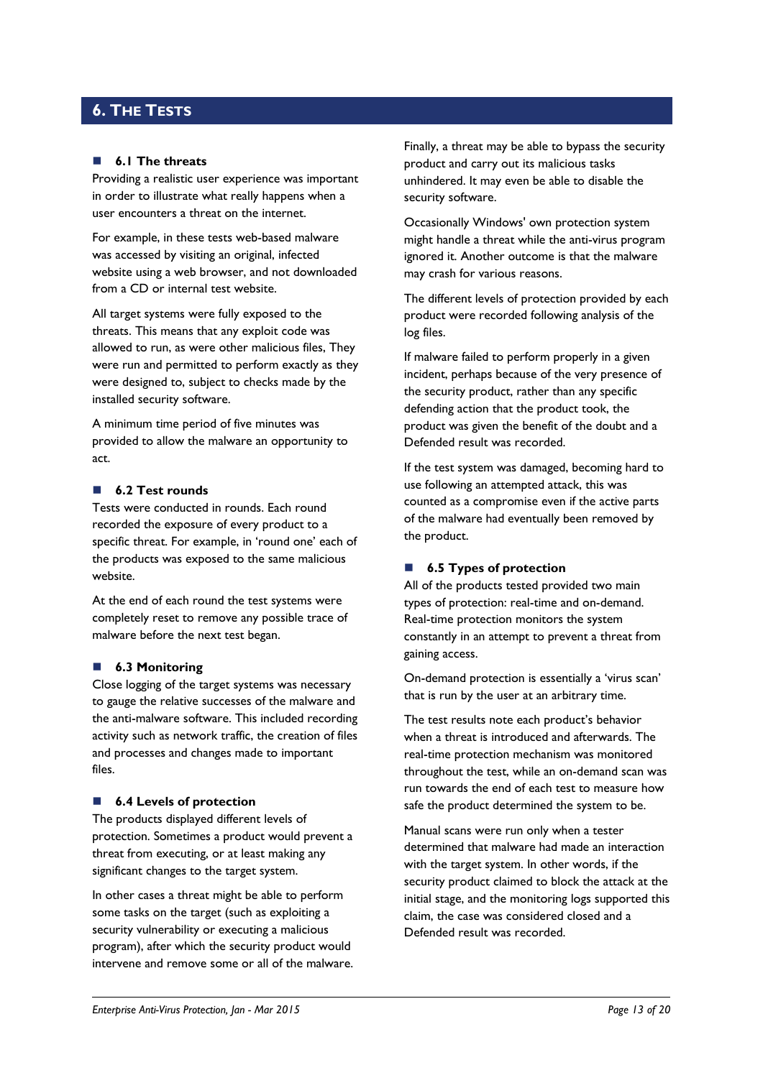### <span id="page-12-0"></span>**6. THE TESTS**

#### **6.1 The threats**

Providing a realistic user experience was important in order to illustrate what really happens when a user encounters a threat on the internet.

For example, in these tests web-based malware was accessed by visiting an original, infected website using a web browser, and not downloaded from a CD or internal test website.

All target systems were fully exposed to the threats. This means that any exploit code was allowed to run, as were other malicious files, They were run and permitted to perform exactly as they were designed to, subject to checks made by the installed security software.

A minimum time period of five minutes was provided to allow the malware an opportunity to act.

#### **6.2 Test rounds**

Tests were conducted in rounds. Each round recorded the exposure of every product to a specific threat. For example, in 'round one' each of the products was exposed to the same malicious website.

At the end of each round the test systems were completely reset to remove any possible trace of malware before the next test began.

#### **6.3 Monitoring**

Close logging of the target systems was necessary to gauge the relative successes of the malware and the anti-malware software. This included recording activity such as network traffic, the creation of files and processes and changes made to important files.

#### ■ 6.4 Levels of protection

The products displayed different levels of protection. Sometimes a product would prevent a threat from executing, or at least making any significant changes to the target system.

In other cases a threat might be able to perform some tasks on the target (such as exploiting a security vulnerability or executing a malicious program), after which the security product would intervene and remove some or all of the malware.

Finally, a threat may be able to bypass the security product and carry out its malicious tasks unhindered. It may even be able to disable the security software.

Occasionally Windows' own protection system might handle a threat while the anti-virus program ignored it. Another outcome is that the malware may crash for various reasons.

The different levels of protection provided by each product were recorded following analysis of the log files.

If malware failed to perform properly in a given incident, perhaps because of the very presence of the security product, rather than any specific defending action that the product took, the product was given the benefit of the doubt and a Defended result was recorded.

If the test system was damaged, becoming hard to use following an attempted attack, this was counted as a compromise even if the active parts of the malware had eventually been removed by the product.

### ■ **6.5 Types of protection**

All of the products tested provided two main types of protection: real-time and on-demand. Real-time protection monitors the system constantly in an attempt to prevent a threat from gaining access.

On-demand protection is essentially a 'virus scan' that is run by the user at an arbitrary time.

The test results note each product's behavior when a threat is introduced and afterwards. The real-time protection mechanism was monitored throughout the test, while an on-demand scan was run towards the end of each test to measure how safe the product determined the system to be.

Manual scans were run only when a tester determined that malware had made an interaction with the target system. In other words, if the security product claimed to block the attack at the initial stage, and the monitoring logs supported this claim, the case was considered closed and a Defended result was recorded.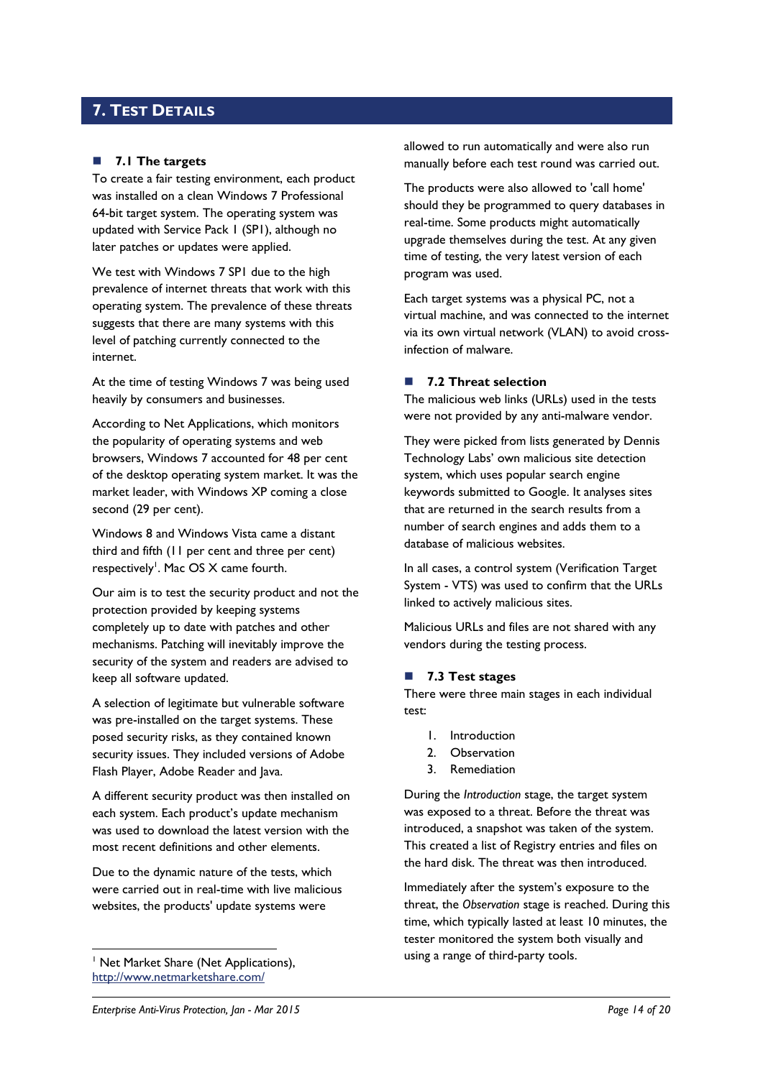### <span id="page-13-0"></span>**7. TEST DETAILS**

### **7.1 The targets**

To create a fair testing environment, each product was installed on a clean Windows 7 Professional 64-bit target system. The operating system was updated with Service Pack 1 (SP1), although no later patches or updates were applied.

We test with Windows 7 SP1 due to the high prevalence of internet threats that work with this operating system. The prevalence of these threats suggests that there are many systems with this level of patching currently connected to the internet.

At the time of testing Windows 7 was being used heavily by consumers and businesses.

According to Net Applications, which monitors the popularity of operating systems and web browsers, Windows 7 accounted for 48 per cent of the desktop operating system market. It was the market leader, with Windows XP coming a close second (29 per cent).

Windows 8 and Windows Vista came a distant third and fifth (11 per cent and three per cent) respectively<sup>1</sup>. Mac OS X came fourth.

Our aim is to test the security product and not the protection provided by keeping systems completely up to date with patches and other mechanisms. Patching will inevitably improve the security of the system and readers are advised to keep all software updated.

A selection of legitimate but vulnerable software was pre-installed on the target systems. These posed security risks, as they contained known security issues. They included versions of Adobe Flash Player, Adobe Reader and Java.

A different security product was then installed on each system. Each product's update mechanism was used to download the latest version with the most recent definitions and other elements.

Due to the dynamic nature of the tests, which were carried out in real-time with live malicious websites, the products' update systems were

<sup>1</sup> Net Market Share (Net Applications), <http://www.netmarketshare.com/>

1

allowed to run automatically and were also run manually before each test round was carried out.

The products were also allowed to 'call home' should they be programmed to query databases in real-time. Some products might automatically upgrade themselves during the test. At any given time of testing, the very latest version of each program was used.

Each target systems was a physical PC, not a virtual machine, and was connected to the internet via its own virtual network (VLAN) to avoid crossinfection of malware.

#### ■ 7.2 Threat selection

The malicious web links (URLs) used in the tests were not provided by any anti-malware vendor.

They were picked from lists generated by Dennis Technology Labs' own malicious site detection system, which uses popular search engine keywords submitted to Google. It analyses sites that are returned in the search results from a number of search engines and adds them to a database of malicious websites.

In all cases, a control system (Verification Target System - VTS) was used to confirm that the URLs linked to actively malicious sites.

Malicious URLs and files are not shared with any vendors during the testing process.

### <span id="page-13-1"></span>**7.3 Test stages**

There were three main stages in each individual test:

- 1. Introduction
- 2. Observation
- 3. Remediation

During the *Introduction* stage, the target system was exposed to a threat. Before the threat was introduced, a snapshot was taken of the system. This created a list of Registry entries and files on the hard disk. The threat was then introduced.

Immediately after the system's exposure to the threat, the *Observation* stage is reached. During this time, which typically lasted at least 10 minutes, the tester monitored the system both visually and using a range of third-party tools.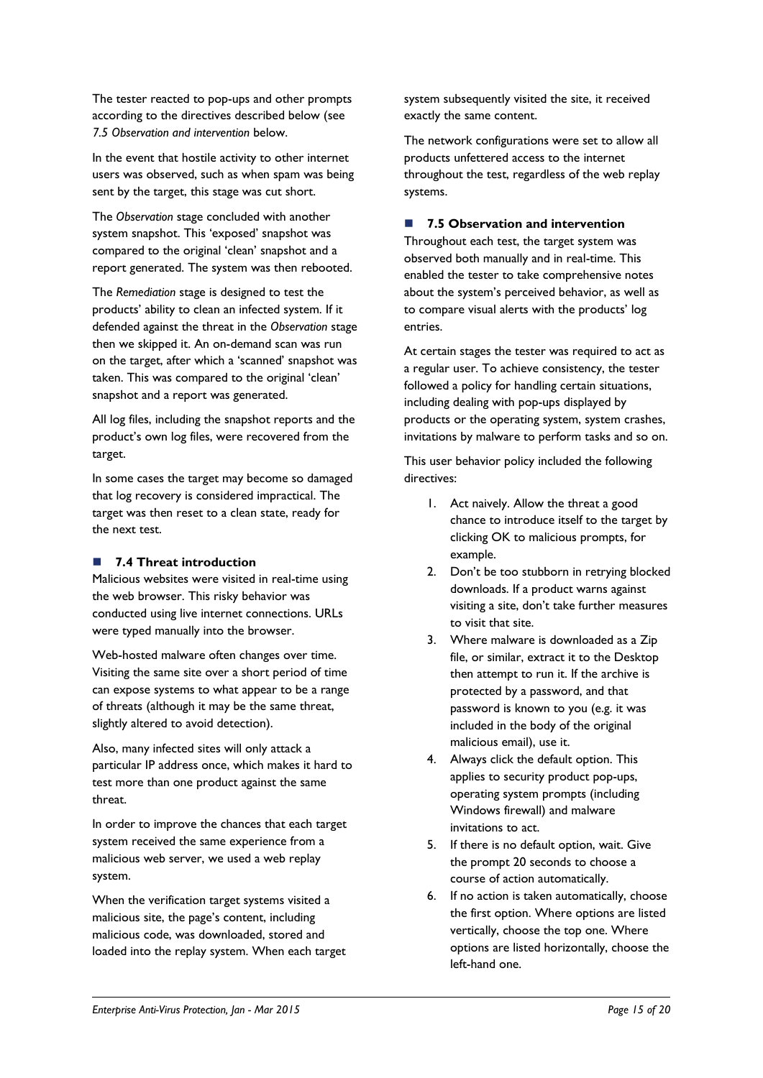The tester reacted to pop-ups and other prompts according to the directives described below (see *7.5 Observation and intervention* below.

In the event that hostile activity to other internet users was observed, such as when spam was being sent by the target, this stage was cut short.

The *Observation* stage concluded with another system snapshot. This 'exposed' snapshot was compared to the original 'clean' snapshot and a report generated. The system was then rebooted.

The *Remediation* stage is designed to test the products' ability to clean an infected system. If it defended against the threat in the *Observation* stage then we skipped it. An on-demand scan was run on the target, after which a 'scanned' snapshot was taken. This was compared to the original 'clean' snapshot and a report was generated.

All log files, including the snapshot reports and the product's own log files, were recovered from the target.

In some cases the target may become so damaged that log recovery is considered impractical. The target was then reset to a clean state, ready for the next test.

### **7.4 Threat introduction**

Malicious websites were visited in real-time using the web browser. This risky behavior was conducted using live internet connections. URLs were typed manually into the browser.

Web-hosted malware often changes over time. Visiting the same site over a short period of time can expose systems to what appear to be a range of threats (although it may be the same threat, slightly altered to avoid detection).

Also, many infected sites will only attack a particular IP address once, which makes it hard to test more than one product against the same threat.

In order to improve the chances that each target system received the same experience from a malicious web server, we used a web replay system.

When the verification target systems visited a malicious site, the page's content, including malicious code, was downloaded, stored and loaded into the replay system. When each target system subsequently visited the site, it received exactly the same content.

The network configurations were set to allow all products unfettered access to the internet throughout the test, regardless of the web replay systems.

### **7.5 Observation and intervention**

Throughout each test, the target system was observed both manually and in real-time. This enabled the tester to take comprehensive notes about the system's perceived behavior, as well as to compare visual alerts with the products' log entries.

At certain stages the tester was required to act as a regular user. To achieve consistency, the tester followed a policy for handling certain situations, including dealing with pop-ups displayed by products or the operating system, system crashes, invitations by malware to perform tasks and so on.

This user behavior policy included the following directives:

- 1. Act naively. Allow the threat a good chance to introduce itself to the target by clicking OK to malicious prompts, for example.
- 2. Don't be too stubborn in retrying blocked downloads. If a product warns against visiting a site, don't take further measures to visit that site.
- 3. Where malware is downloaded as a Zip file, or similar, extract it to the Desktop then attempt to run it. If the archive is protected by a password, and that password is known to you (e.g. it was included in the body of the original malicious email), use it.
- 4. Always click the default option. This applies to security product pop-ups, operating system prompts (including Windows firewall) and malware invitations to act.
- 5. If there is no default option, wait. Give the prompt 20 seconds to choose a course of action automatically.
- 6. If no action is taken automatically, choose the first option. Where options are listed vertically, choose the top one. Where options are listed horizontally, choose the left-hand one.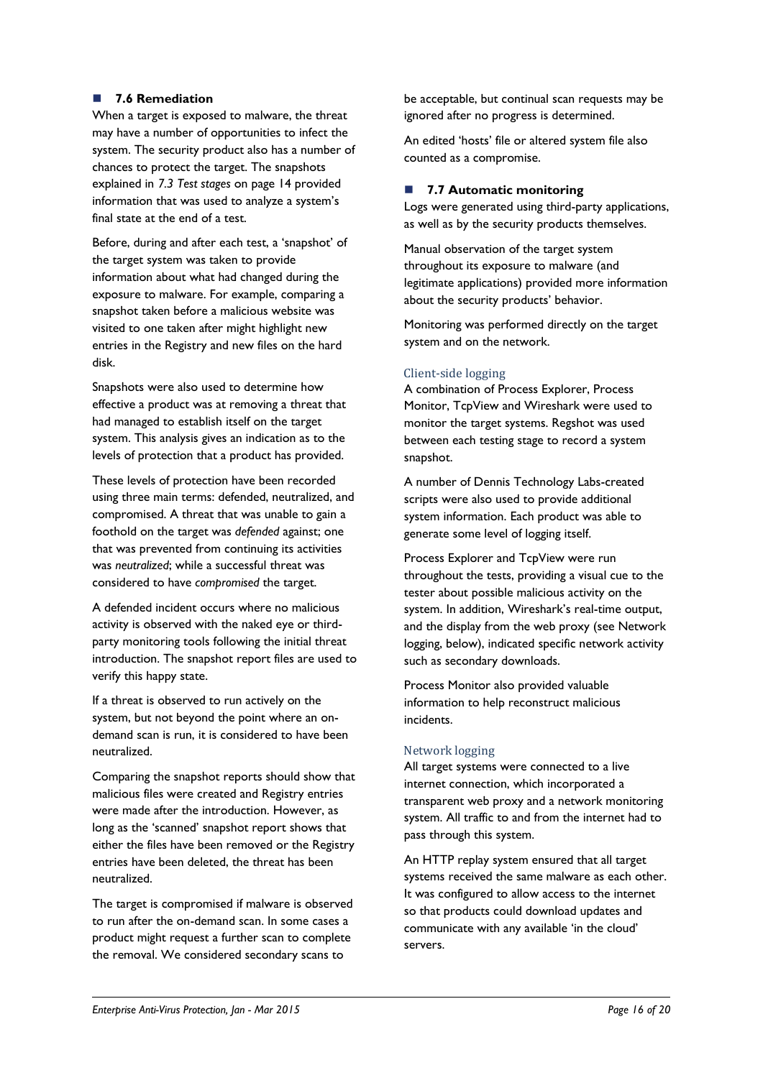### **7.6 Remediation**

When a target is exposed to malware, the threat may have a number of opportunities to infect the system. The security product also has a number of chances to protect the target. The snapshots explained in *7.3 Test stages* [on page 14](#page-13-1) provided information that was used to analyze a system's final state at the end of a test.

Before, during and after each test, a 'snapshot' of the target system was taken to provide information about what had changed during the exposure to malware. For example, comparing a snapshot taken before a malicious website was visited to one taken after might highlight new entries in the Registry and new files on the hard disk.

Snapshots were also used to determine how effective a product was at removing a threat that had managed to establish itself on the target system. This analysis gives an indication as to the levels of protection that a product has provided.

These levels of protection have been recorded using three main terms: defended, neutralized, and compromised. A threat that was unable to gain a foothold on the target was *defended* against; one that was prevented from continuing its activities was *neutralized*; while a successful threat was considered to have *compromised* the target.

A defended incident occurs where no malicious activity is observed with the naked eye or thirdparty monitoring tools following the initial threat introduction. The snapshot report files are used to verify this happy state.

If a threat is observed to run actively on the system, but not beyond the point where an ondemand scan is run, it is considered to have been neutralized.

Comparing the snapshot reports should show that malicious files were created and Registry entries were made after the introduction. However, as long as the 'scanned' snapshot report shows that either the files have been removed or the Registry entries have been deleted, the threat has been neutralized.

The target is compromised if malware is observed to run after the on-demand scan. In some cases a product might request a further scan to complete the removal. We considered secondary scans to

be acceptable, but continual scan requests may be ignored after no progress is determined.

An edited 'hosts' file or altered system file also counted as a compromise.

### **7.7 Automatic monitoring**

Logs were generated using third-party applications, as well as by the security products themselves.

Manual observation of the target system throughout its exposure to malware (and legitimate applications) provided more information about the security products' behavior.

Monitoring was performed directly on the target system and on the network.

### Client-side logging

A combination of Process Explorer, Process Monitor, TcpView and Wireshark were used to monitor the target systems. Regshot was used between each testing stage to record a system snapshot.

A number of Dennis Technology Labs-created scripts were also used to provide additional system information. Each product was able to generate some level of logging itself.

Process Explorer and TcpView were run throughout the tests, providing a visual cue to the tester about possible malicious activity on the system. In addition, Wireshark's real-time output, and the display from the web proxy (see Network logging, below), indicated specific network activity such as secondary downloads.

Process Monitor also provided valuable information to help reconstruct malicious incidents.

### Network logging

All target systems were connected to a live internet connection, which incorporated a transparent web proxy and a network monitoring system. All traffic to and from the internet had to pass through this system.

An HTTP replay system ensured that all target systems received the same malware as each other. It was configured to allow access to the internet so that products could download updates and communicate with any available 'in the cloud' servers.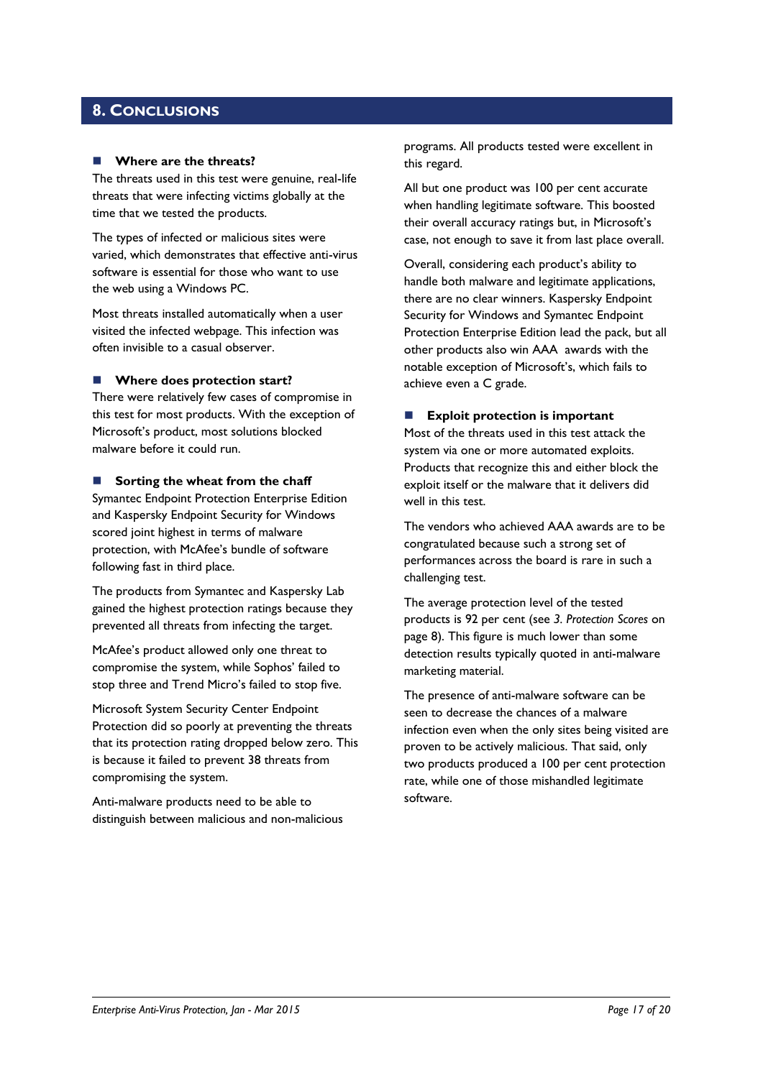### <span id="page-16-0"></span>**8. CONCLUSIONS**

#### **Where are the threats?**

The threats used in this test were genuine, real-life threats that were infecting victims globally at the time that we tested the products.

The types of infected or malicious sites were varied, which demonstrates that effective anti-virus software is essential for those who want to use the web using a Windows PC.

Most threats installed automatically when a user visited the infected webpage. This infection was often invisible to a casual observer.

#### ■ Where does protection start?

There were relatively few cases of compromise in this test for most products. With the exception of Microsoft's product, most solutions blocked malware before it could run.

#### **Sorting the wheat from the chaff**

Symantec Endpoint Protection Enterprise Edition and Kaspersky Endpoint Security for Windows scored joint highest in terms of malware protection, with McAfee's bundle of software following fast in third place.

The products from Symantec and Kaspersky Lab gained the highest protection ratings because they prevented all threats from infecting the target.

McAfee's product allowed only one threat to compromise the system, while Sophos' failed to stop three and Trend Micro's failed to stop five.

Microsoft System Security Center Endpoint Protection did so poorly at preventing the threats that its protection rating dropped below zero. This is because it failed to prevent 38 threats from compromising the system.

Anti-malware products need to be able to distinguish between malicious and non-malicious

programs. All products tested were excellent in this regard.

All but one product was 100 per cent accurate when handling legitimate software. This boosted their overall accuracy ratings but, in Microsoft's case, not enough to save it from last place overall.

Overall, considering each product's ability to handle both malware and legitimate applications, there are no clear winners. Kaspersky Endpoint Security for Windows and Symantec Endpoint Protection Enterprise Edition lead the pack, but all other products also win AAA awards with the notable exception of Microsoft's, which fails to achieve even a C grade.

### **Exploit protection is important**

Most of the threats used in this test attack the system via one or more automated exploits. Products that recognize this and either block the exploit itself or the malware that it delivers did well in this test.

The vendors who achieved AAA awards are to be congratulated because such a strong set of performances across the board is rare in such a challenging test.

The average protection level of the tested products is 92 per cent (see *3. Protection Scores* on page 8). This figure is much lower than some detection results typically quoted in anti-malware marketing material.

The presence of anti-malware software can be seen to decrease the chances of a malware infection even when the only sites being visited are proven to be actively malicious. That said, only two products produced a 100 per cent protection rate, while one of those mishandled legitimate software.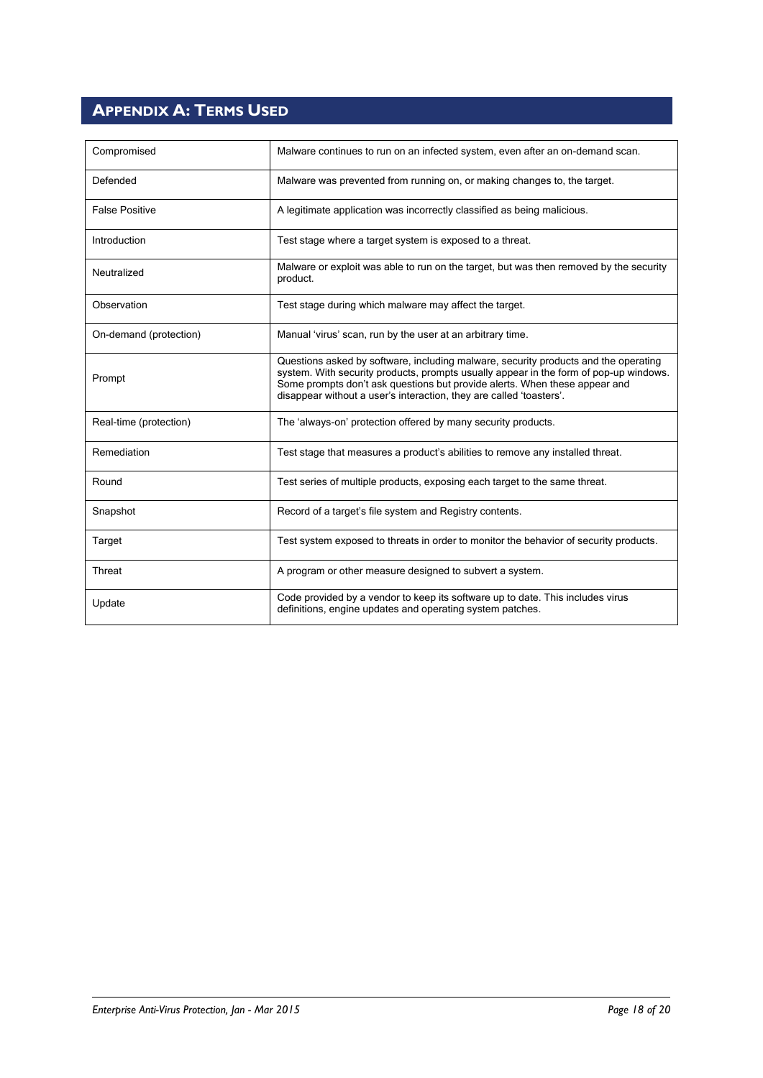## <span id="page-17-0"></span>**APPENDIX A: TERMS USED**

| Compromised            | Malware continues to run on an infected system, even after an on-demand scan.                                                                                                                                                                                                                                                     |  |
|------------------------|-----------------------------------------------------------------------------------------------------------------------------------------------------------------------------------------------------------------------------------------------------------------------------------------------------------------------------------|--|
| Defended               | Malware was prevented from running on, or making changes to, the target.                                                                                                                                                                                                                                                          |  |
| <b>False Positive</b>  | A legitimate application was incorrectly classified as being malicious.                                                                                                                                                                                                                                                           |  |
| Introduction           | Test stage where a target system is exposed to a threat.                                                                                                                                                                                                                                                                          |  |
| Neutralized            | Malware or exploit was able to run on the target, but was then removed by the security<br>product.                                                                                                                                                                                                                                |  |
| Observation            | Test stage during which malware may affect the target.                                                                                                                                                                                                                                                                            |  |
| On-demand (protection) | Manual 'virus' scan, run by the user at an arbitrary time.                                                                                                                                                                                                                                                                        |  |
| Prompt                 | Questions asked by software, including malware, security products and the operating<br>system. With security products, prompts usually appear in the form of pop-up windows.<br>Some prompts don't ask questions but provide alerts. When these appear and<br>disappear without a user's interaction, they are called 'toasters'. |  |
| Real-time (protection) | The 'always-on' protection offered by many security products.                                                                                                                                                                                                                                                                     |  |
| Remediation            | Test stage that measures a product's abilities to remove any installed threat.                                                                                                                                                                                                                                                    |  |
| Round                  | Test series of multiple products, exposing each target to the same threat.                                                                                                                                                                                                                                                        |  |
| Snapshot               | Record of a target's file system and Registry contents.                                                                                                                                                                                                                                                                           |  |
| Target                 | Test system exposed to threats in order to monitor the behavior of security products.                                                                                                                                                                                                                                             |  |
| Threat                 | A program or other measure designed to subvert a system.                                                                                                                                                                                                                                                                          |  |
| Update                 | Code provided by a vendor to keep its software up to date. This includes virus<br>definitions, engine updates and operating system patches.                                                                                                                                                                                       |  |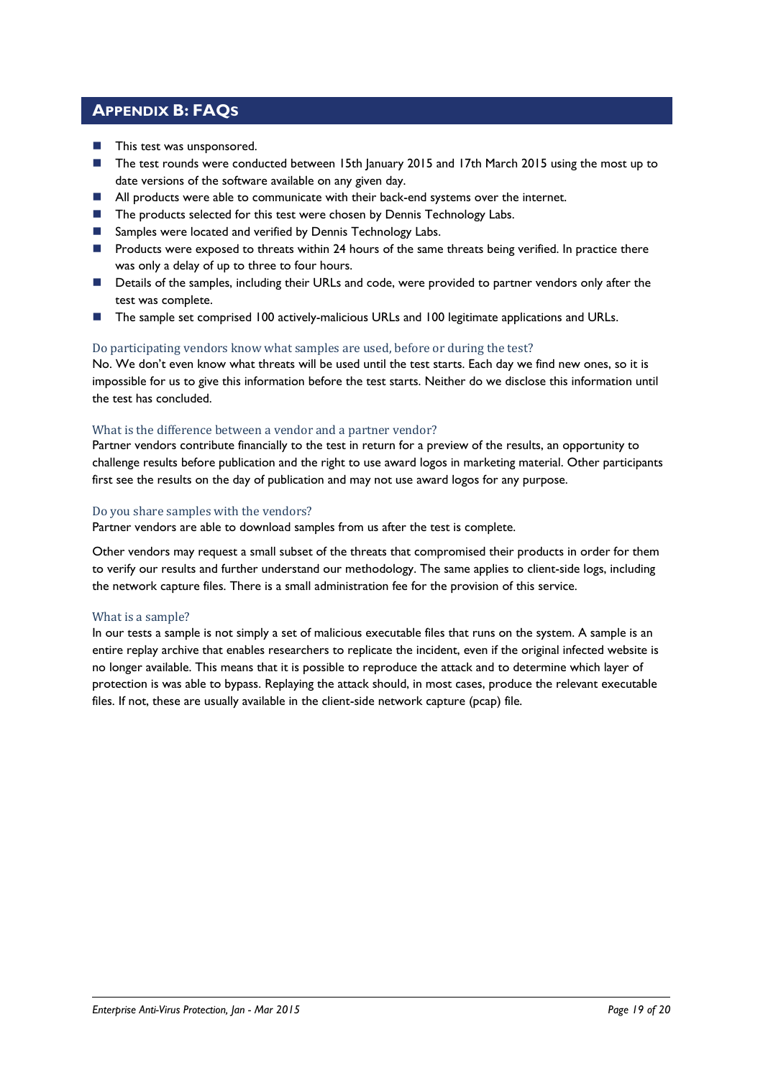### <span id="page-18-0"></span>**APPENDIX B: FAQS**

- **This test was unsponsored.**
- The test rounds were conducted between 15th January 2015 and 17th March 2015 using the most up to date versions of the software available on any given day.
- All products were able to communicate with their back-end systems over the internet.
- The products selected for this test were chosen by Dennis Technology Labs.
- Samples were located and verified by Dennis Technology Labs.
- **Products were exposed to threats within 24 hours of the same threats being verified. In practice there** was only a delay of up to three to four hours.
- **Details of the samples, including their URLs and code, were provided to partner vendors only after the** test was complete.
- The sample set comprised 100 actively-malicious URLs and 100 legitimate applications and URLs.

### Do participating vendors know what samples are used, before or during the test?

No. We don't even know what threats will be used until the test starts. Each day we find new ones, so it is impossible for us to give this information before the test starts. Neither do we disclose this information until the test has concluded.

### What is the difference between a vendor and a partner vendor?

Partner vendors contribute financially to the test in return for a preview of the results, an opportunity to challenge results before publication and the right to use award logos in marketing material. Other participants first see the results on the day of publication and may not use award logos for any purpose.

#### Do you share samples with the vendors?

Partner vendors are able to download samples from us after the test is complete.

Other vendors may request a small subset of the threats that compromised their products in order for them to verify our results and further understand our methodology. The same applies to client-side logs, including the network capture files. There is a small administration fee for the provision of this service.

#### What is a sample?

In our tests a sample is not simply a set of malicious executable files that runs on the system. A sample is an entire replay archive that enables researchers to replicate the incident, even if the original infected website is no longer available. This means that it is possible to reproduce the attack and to determine which layer of protection is was able to bypass. Replaying the attack should, in most cases, produce the relevant executable files. If not, these are usually available in the client-side network capture (pcap) file.